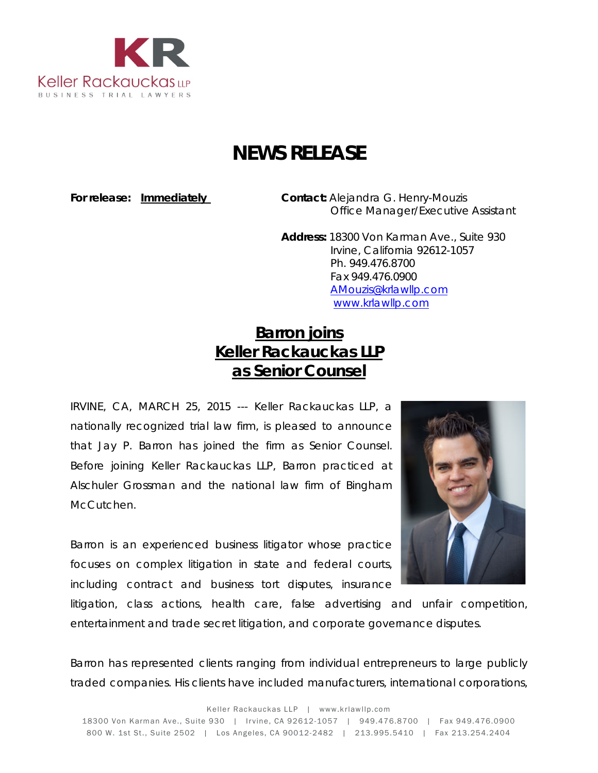

## **NEWS RELEASE**

**For release: Immediately Contact:** Alejandra G. Henry-Mouzis Office Manager/Executive Assistant

> **Address:** 18300 Von Karman Ave., Suite 930 Irvine, California 92612-1057 Ph. 949.476.8700 Fax 949.476.0900 [AMouzis@krlawllp.com](mailto:AMouzis@krlawllp.com) [www.krlawllp.com](http://www.krlawllp.com/)

## **Barron joins Keller Rackauckas LLP as Senior Counsel**

IRVINE, CA, MARCH 25, 2015 --- Keller Rackauckas LLP, a nationally recognized trial law firm, is pleased to announce that Jay P. Barron has joined the firm as Senior Counsel. Before joining Keller Rackauckas LLP, Barron practiced at Alschuler Grossman and the national law firm of Bingham McCutchen.

Barron is an experienced business litigator whose practice focuses on complex litigation in state and federal courts, including contract and business tort disputes, insurance



litigation, class actions, health care, false advertising and unfair competition, entertainment and trade secret litigation, and corporate governance disputes.

Barron has represented clients ranging from individual entrepreneurs to large publicly traded companies. His clients have included manufacturers, international corporations,